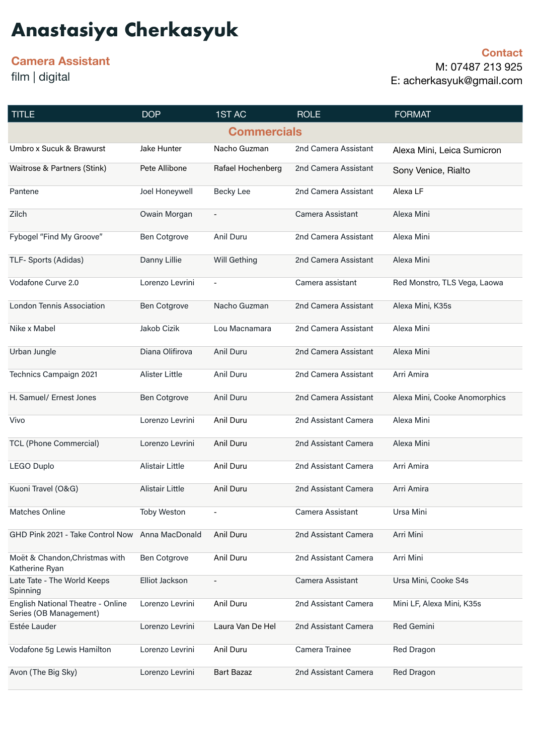# **Anastasiya Cherkasyuk**

## **Camera Assistant**

film | digital

**Contact**  M: 07487 213 925 E: acherkasyuk@gmail.com

| <b>TITLE</b>                                                | <b>DOP</b>          | 1ST AC                   | <b>ROLE</b>          | <b>FORMAT</b>                 |  |  |
|-------------------------------------------------------------|---------------------|--------------------------|----------------------|-------------------------------|--|--|
| <b>Commercials</b>                                          |                     |                          |                      |                               |  |  |
| Umbro x Sucuk & Brawurst                                    | Jake Hunter         | Nacho Guzman             | 2nd Camera Assistant | Alexa Mini, Leica Sumicron    |  |  |
| Waitrose & Partners (Stink)                                 | Pete Allibone       | Rafael Hochenberg        | 2nd Camera Assistant | Sony Venice, Rialto           |  |  |
| Pantene                                                     | Joel Honeywell      | Becky Lee                | 2nd Camera Assistant | Alexa LF                      |  |  |
| Zilch                                                       | Owain Morgan        | $\overline{a}$           | Camera Assistant     | Alexa Mini                    |  |  |
| Fybogel "Find My Groove"                                    | <b>Ben Cotgrove</b> | Anil Duru                | 2nd Camera Assistant | Alexa Mini                    |  |  |
| TLF- Sports (Adidas)                                        | Danny Lillie        | Will Gething             | 2nd Camera Assistant | Alexa Mini                    |  |  |
| Vodafone Curve 2.0                                          | Lorenzo Levrini     | $\overline{\phantom{a}}$ | Camera assistant     | Red Monstro, TLS Vega, Laowa  |  |  |
| <b>London Tennis Association</b>                            | <b>Ben Cotgrove</b> | Nacho Guzman             | 2nd Camera Assistant | Alexa Mini, K35s              |  |  |
| Nike x Mabel                                                | Jakob Cizik         | Lou Macnamara            | 2nd Camera Assistant | Alexa Mini                    |  |  |
| Urban Jungle                                                | Diana Olifirova     | Anil Duru                | 2nd Camera Assistant | Alexa Mini                    |  |  |
| Technics Campaign 2021                                      | Alister Little      | Anil Duru                | 2nd Camera Assistant | Arri Amira                    |  |  |
| H. Samuel/ Ernest Jones                                     | <b>Ben Cotgrove</b> | Anil Duru                | 2nd Camera Assistant | Alexa Mini, Cooke Anomorphics |  |  |
| Vivo                                                        | Lorenzo Levrini     | Anil Duru                | 2nd Assistant Camera | Alexa Mini                    |  |  |
| <b>TCL (Phone Commercial)</b>                               | Lorenzo Levrini     | Anil Duru                | 2nd Assistant Camera | Alexa Mini                    |  |  |
| <b>LEGO Duplo</b>                                           | Alistair Little     | Anil Duru                | 2nd Assistant Camera | Arri Amira                    |  |  |
| Kuoni Travel (O&G)                                          | Alistair Little     | Anil Duru                | 2nd Assistant Camera | Arri Amira                    |  |  |
| Matches Online                                              | <b>Toby Weston</b>  |                          | Camera Assistant     | Ursa Mini                     |  |  |
| GHD Pink 2021 - Take Control Now Anna MacDonald             |                     | Anil Duru                | 2nd Assistant Camera | Arri Mini                     |  |  |
| Moët & Chandon, Christmas with<br>Katherine Ryan            | <b>Ben Cotgrove</b> | Anil Duru                | 2nd Assistant Camera | Arri Mini                     |  |  |
| Late Tate - The World Keeps<br>Spinning                     | Elliot Jackson      | $\overline{a}$           | Camera Assistant     | Ursa Mini, Cooke S4s          |  |  |
| English National Theatre - Online<br>Series (OB Management) | Lorenzo Levrini     | Anil Duru                | 2nd Assistant Camera | Mini LF, Alexa Mini, K35s     |  |  |
| Estée Lauder                                                | Lorenzo Levrini     | Laura Van De Hel         | 2nd Assistant Camera | <b>Red Gemini</b>             |  |  |
| Vodafone 5g Lewis Hamilton                                  | Lorenzo Levrini     | Anil Duru                | Camera Trainee       | Red Dragon                    |  |  |
| Avon (The Big Sky)                                          | Lorenzo Levrini     | <b>Bart Bazaz</b>        | 2nd Assistant Camera | Red Dragon                    |  |  |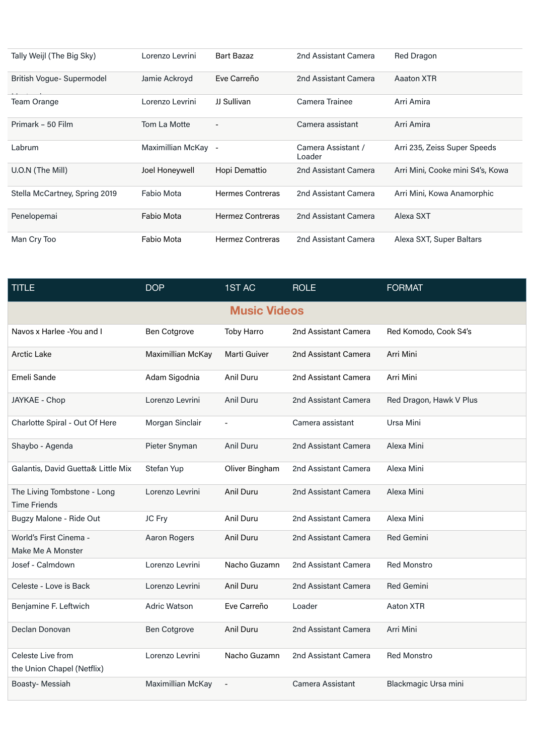| Tally Weijl (The Big Sky)     | Lorenzo Levrini     | <b>Bart Bazaz</b>        | 2nd Assistant Camera         | <b>Red Dragon</b>                |
|-------------------------------|---------------------|--------------------------|------------------------------|----------------------------------|
| British Vogue-Supermodel      | Jamie Ackroyd       | Eve Carreño              | 2nd Assistant Camera         | Aaaton XTR                       |
| <b>Team Orange</b>            | Lorenzo Levrini     | JJ Sullivan              | Camera Trainee               | Arri Amira                       |
| Primark - 50 Film             | Tom La Motte        | $\overline{\phantom{0}}$ | Camera assistant             | Arri Amira                       |
| Labrum                        | Maximillian McKay - |                          | Camera Assistant /<br>Loader | Arri 235, Zeiss Super Speeds     |
| U.O.N (The Mill)              | Joel Honeywell      | Hopi Demattio            | 2nd Assistant Camera         | Arri Mini, Cooke mini S4's, Kowa |
| Stella McCartney, Spring 2019 | Fabio Mota          | <b>Hermes Contreras</b>  | 2nd Assistant Camera         | Arri Mini, Kowa Anamorphic       |
| Penelopemai                   | <b>Fabio Mota</b>   | <b>Hermez Contreras</b>  | 2nd Assistant Camera         | Alexa SXT                        |
| Man Cry Too                   | Fabio Mota          | <b>Hermez Contreras</b>  | 2nd Assistant Camera         | Alexa SXT, Super Baltars         |

| <b>TITLE</b>                                       | <b>DOP</b>          | 1ST AC              | <b>ROLE</b>          | <b>FORMAT</b>           |  |  |
|----------------------------------------------------|---------------------|---------------------|----------------------|-------------------------|--|--|
| <b>Music Videos</b>                                |                     |                     |                      |                         |  |  |
| Navos x Harlee - You and I                         | Ben Cotgrove        | Toby Harro          | 2nd Assistant Camera | Red Komodo, Cook S4's   |  |  |
| <b>Arctic Lake</b>                                 | Maximillian McKay   | <b>Marti Guiver</b> | 2nd Assistant Camera | Arri Mini               |  |  |
| Emeli Sande                                        | Adam Sigodnia       | Anil Duru           | 2nd Assistant Camera | Arri Mini               |  |  |
| JAYKAE - Chop                                      | Lorenzo Levrini     | Anil Duru           | 2nd Assistant Camera | Red Dragon, Hawk V Plus |  |  |
| Charlotte Spiral - Out Of Here                     | Morgan Sinclair     |                     | Camera assistant     | Ursa Mini               |  |  |
| Shaybo - Agenda                                    | Pieter Snyman       | Anil Duru           | 2nd Assistant Camera | Alexa Mini              |  |  |
| Galantis, David Guetta& Little Mix                 | Stefan Yup          | Oliver Bingham      | 2nd Assistant Camera | Alexa Mini              |  |  |
| The Living Tombstone - Long<br><b>Time Friends</b> | Lorenzo Levrini     | Anil Duru           | 2nd Assistant Camera | Alexa Mini              |  |  |
| Bugzy Malone - Ride Out                            | JC Fry              | Anil Duru           | 2nd Assistant Camera | Alexa Mini              |  |  |
| World's First Cinema -<br>Make Me A Monster        | Aaron Rogers        | Anil Duru           | 2nd Assistant Camera | <b>Red Gemini</b>       |  |  |
| Josef - Calmdown                                   | Lorenzo Levrini     | Nacho Guzamn        | 2nd Assistant Camera | <b>Red Monstro</b>      |  |  |
| Celeste - Love is Back                             | Lorenzo Levrini     | Anil Duru           | 2nd Assistant Camera | <b>Red Gemini</b>       |  |  |
| Benjamine F. Leftwich                              | <b>Adric Watson</b> | Eve Carreño         | Loader               | Aaton XTR               |  |  |
| Declan Donovan                                     | Ben Cotgrove        | Anil Duru           | 2nd Assistant Camera | Arri Mini               |  |  |
| Celeste Live from<br>the Union Chapel (Netflix)    | Lorenzo Levrini     | Nacho Guzamn        | 2nd Assistant Camera | <b>Red Monstro</b>      |  |  |
| Boasty- Messiah                                    | Maximillian McKay   | $\overline{a}$      | Camera Assistant     | Blackmagic Ursa mini    |  |  |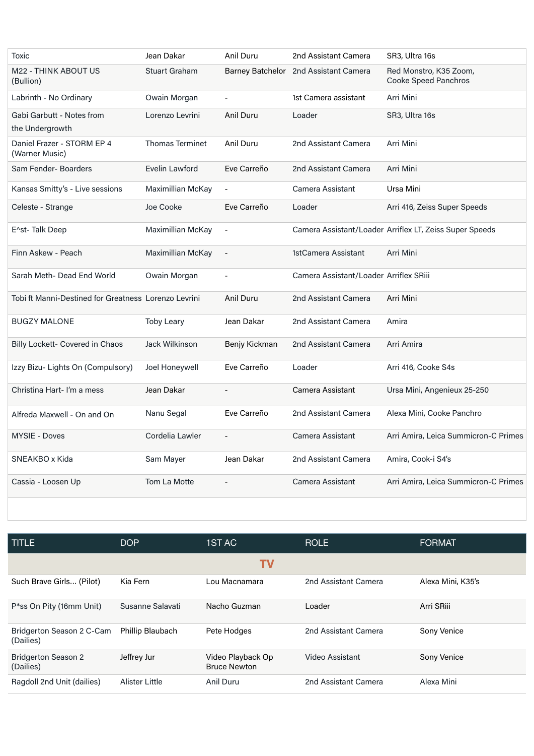| Toxic                                                | Jean Dakar             | Anil Duru                | 2nd Assistant Camera                   | SR3, Ultra 16s                                          |
|------------------------------------------------------|------------------------|--------------------------|----------------------------------------|---------------------------------------------------------|
| <b>M22 - THINK ABOUT US</b><br>(Bullion)             | <b>Stuart Graham</b>   |                          | Barney Batchelor 2nd Assistant Camera  | Red Monstro, K35 Zoom,<br>Cooke Speed Panchros          |
| Labrinth - No Ordinary                               | Owain Morgan           | $\overline{a}$           | 1st Camera assistant                   | Arri Mini                                               |
| Gabi Garbutt - Notes from<br>the Undergrowth         | Lorenzo Levrini        | Anil Duru                | Loader                                 | SR <sub>3</sub> , Ultra 16s                             |
| Daniel Frazer - STORM EP 4<br>(Warner Music)         | <b>Thomas Terminet</b> | Anil Duru                | 2nd Assistant Camera                   | Arri Mini                                               |
| Sam Fender-Boarders                                  | Evelin Lawford         | Eve Carreño              | 2nd Assistant Camera                   | Arri Mini                                               |
| Kansas Smitty's - Live sessions                      | Maximillian McKay      | $\overline{\phantom{a}}$ | Camera Assistant                       | Ursa Mini                                               |
| Celeste - Strange                                    | Joe Cooke              | Eve Carreño              | Loader                                 | Arri 416, Zeiss Super Speeds                            |
| E^st-Talk Deep                                       | Maximillian McKay      | $\overline{\phantom{a}}$ |                                        | Camera Assistant/Loader Arriflex LT, Zeiss Super Speeds |
| Finn Askew - Peach                                   | Maximillian McKay      | $\frac{1}{2}$            | 1stCamera Assistant                    | Arri Mini                                               |
| Sarah Meth- Dead End World                           | Owain Morgan           |                          | Camera Assistant/Loader Arriflex SRiii |                                                         |
| Tobi ft Manni-Destined for Greatness Lorenzo Levrini |                        | Anil Duru                | 2nd Assistant Camera                   | Arri Mini                                               |
| <b>BUGZY MALONE</b>                                  | <b>Toby Leary</b>      | Jean Dakar               | 2nd Assistant Camera                   | Amira                                                   |
| Billy Lockett- Covered in Chaos                      | Jack Wilkinson         | Benjy Kickman            | 2nd Assistant Camera                   | Arri Amira                                              |
| Izzy Bizu- Lights On (Compulsory)                    | Joel Honeywell         | Eve Carreño              | Loader                                 | Arri 416, Cooke S4s                                     |
| Christina Hart-I'm a mess                            | Jean Dakar             |                          | Camera Assistant                       | Ursa Mini, Angenieux 25-250                             |
| Alfreda Maxwell - On and On                          | Nanu Segal             | Eve Carreño              | 2nd Assistant Camera                   | Alexa Mini, Cooke Panchro                               |
| <b>MYSIE - Doves</b>                                 | Cordelia Lawler        |                          | Camera Assistant                       | Arri Amira, Leica Summicron-C Primes                    |
| SNEAKBO x Kida                                       | Sam Mayer              | Jean Dakar               | 2nd Assistant Camera                   | Amira, Cook-i S4's                                      |
| Cassia - Loosen Up                                   | Tom La Motte           | $\overline{a}$           | Camera Assistant                       | Arri Amira, Leica Summicron-C Primes                    |

| <b>TITLE</b>                            | <b>DOP</b>       | 1ST AC                                   | <b>ROLE</b>          | <b>FORMAT</b>     |  |  |
|-----------------------------------------|------------------|------------------------------------------|----------------------|-------------------|--|--|
| ΤV                                      |                  |                                          |                      |                   |  |  |
| Such Brave Girls (Pilot)                | Kia Fern         | Lou Macnamara                            | 2nd Assistant Camera | Alexa Mini, K35's |  |  |
| P*ss On Pity (16mm Unit)                | Susanne Salavati | Nacho Guzman                             | Loader               | Arri SRiii        |  |  |
| Bridgerton Season 2 C-Cam<br>(Dailies)  | Phillip Blaubach | Pete Hodges                              | 2nd Assistant Camera | Sony Venice       |  |  |
| <b>Bridgerton Season 2</b><br>(Dailies) | Jeffrey Jur      | Video Playback Op<br><b>Bruce Newton</b> | Video Assistant      | Sony Venice       |  |  |
| Ragdoll 2nd Unit (dailies)              | Alister Little   | Anil Duru                                | 2nd Assistant Camera | Alexa Mini        |  |  |